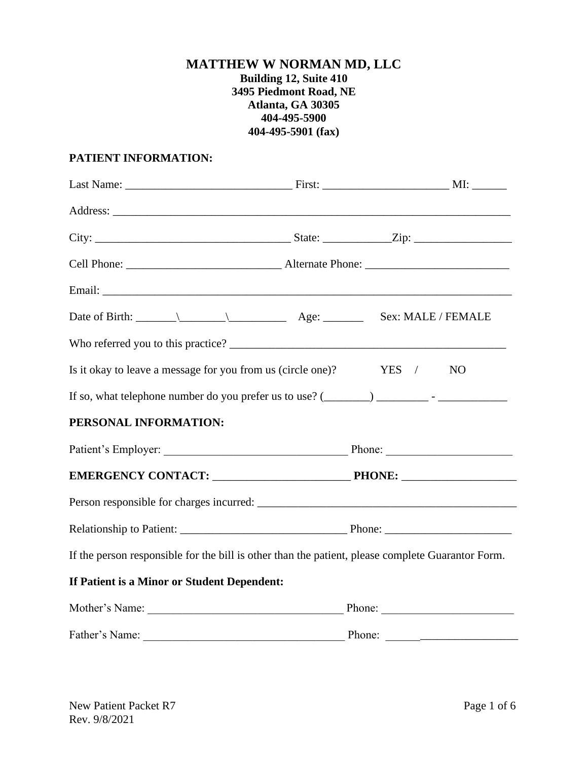# **MATTHEW W NORMAN MD, LLC Building 12, Suite 410 3495 Piedmont Road, NE Atlanta, GA 30305 404-495-5900 404-495-5901 (fax)**

### **PATIENT INFORMATION:**

|                                                                                                   | Sex: MALE / FEMALE      |
|---------------------------------------------------------------------------------------------------|-------------------------|
|                                                                                                   |                         |
| Is it okay to leave a message for you from us (circle one)?                                       | YES /<br>N <sub>O</sub> |
|                                                                                                   |                         |
| PERSONAL INFORMATION:                                                                             |                         |
|                                                                                                   |                         |
|                                                                                                   |                         |
|                                                                                                   |                         |
|                                                                                                   |                         |
| If the person responsible for the bill is other than the patient, please complete Guarantor Form. |                         |
| If Patient is a Minor or Student Dependent:                                                       |                         |
| Mother's Name: Phone: Phone: Phone:                                                               |                         |
|                                                                                                   |                         |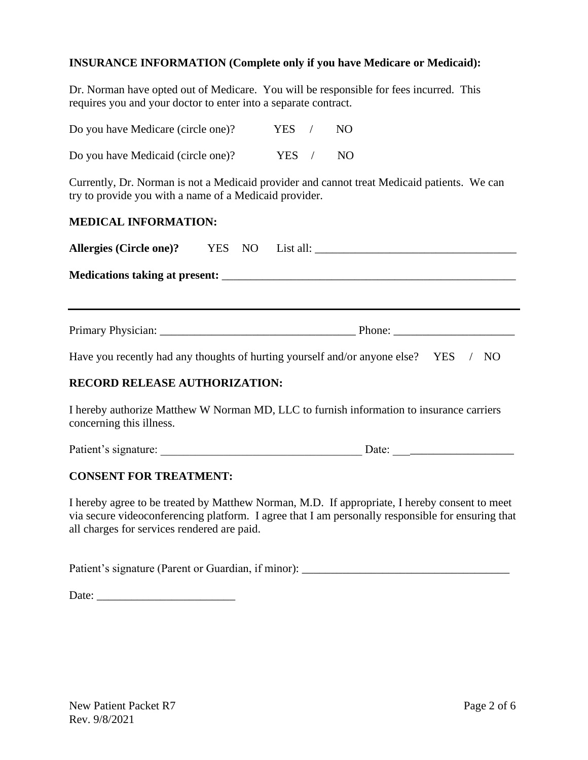### **INSURANCE INFORMATION (Complete only if you have Medicare or Medicaid):**

Dr. Norman have opted out of Medicare. You will be responsible for fees incurred. This requires you and your doctor to enter into a separate contract.

| Do you have Medicare (circle one)? | YES.  | NO. |
|------------------------------------|-------|-----|
| Do you have Medicaid (circle one)? | YES / | NO  |

Currently, Dr. Norman is not a Medicaid provider and cannot treat Medicaid patients. We can try to provide you with a name of a Medicaid provider.

# **MEDICAL INFORMATION:**

|                                      |  | Phone: $\frac{1}{\sqrt{1-\frac{1}{2}}}\left\{ \frac{1}{2} + \frac{1}{2} \frac{1}{2} + \frac{1}{2} \frac{1}{2} + \frac{1}{2} \frac{1}{2} + \frac{1}{2} \frac{1}{2} + \frac{1}{2} \frac{1}{2} + \frac{1}{2} \frac{1}{2} + \frac{1}{2} \frac{1}{2} + \frac{1}{2} \frac{1}{2} + \frac{1}{2} \frac{1}{2} + \frac{1}{2} \frac{1}{2} + \frac{1}{2} \frac{1}{2} + \frac{1}{2} \frac{1}{2} + \frac{1}{$ |  |  |  |
|--------------------------------------|--|------------------------------------------------------------------------------------------------------------------------------------------------------------------------------------------------------------------------------------------------------------------------------------------------------------------------------------------------------------------------------------------------|--|--|--|
|                                      |  | Have you recently had any thoughts of hurting yourself and/or anyone else? YES / NO                                                                                                                                                                                                                                                                                                            |  |  |  |
| <b>RECORD RELEASE AUTHORIZATION:</b> |  |                                                                                                                                                                                                                                                                                                                                                                                                |  |  |  |
| concerning this illness.             |  | I hereby authorize Matthew W Norman MD, LLC to furnish information to insurance carriers                                                                                                                                                                                                                                                                                                       |  |  |  |
| Patient's signature:                 |  | Date:                                                                                                                                                                                                                                                                                                                                                                                          |  |  |  |

### **CONSENT FOR TREATMENT:**

I hereby agree to be treated by Matthew Norman, M.D. If appropriate, I hereby consent to meet via secure videoconferencing platform. I agree that I am personally responsible for ensuring that all charges for services rendered are paid.

Patient's signature (Parent or Guardian, if minor): \_\_\_\_\_\_\_\_\_\_\_\_\_\_\_\_\_\_\_\_\_\_\_\_\_\_\_\_\_

Date: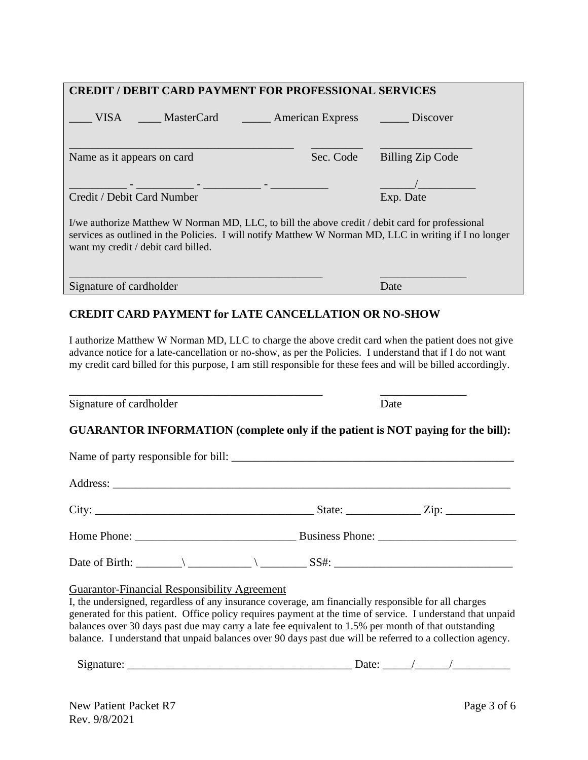| <b>CREDIT / DEBIT CARD PAYMENT FOR PROFESSIONAL SERVICES</b> |                                                     |                                                                                                      |                                                                                                                                                                                                                                                                                                                                    |  |
|--------------------------------------------------------------|-----------------------------------------------------|------------------------------------------------------------------------------------------------------|------------------------------------------------------------------------------------------------------------------------------------------------------------------------------------------------------------------------------------------------------------------------------------------------------------------------------------|--|
|                                                              |                                                     | VISA ______ MasterCard ________ American Express                                                     | $\rule{1em}{0.15}\nightharpoonup$ Discover                                                                                                                                                                                                                                                                                         |  |
| Name as it appears on card                                   |                                                     | Sec. Code                                                                                            | <b>Billing Zip Code</b>                                                                                                                                                                                                                                                                                                            |  |
|                                                              |                                                     |                                                                                                      |                                                                                                                                                                                                                                                                                                                                    |  |
| Credit / Debit Card Number                                   |                                                     |                                                                                                      | Exp. Date                                                                                                                                                                                                                                                                                                                          |  |
| want my credit / debit card billed.                          |                                                     | I/we authorize Matthew W Norman MD, LLC, to bill the above credit / debit card for professional      | services as outlined in the Policies. I will notify Matthew W Norman MD, LLC in writing if I no longer                                                                                                                                                                                                                             |  |
|                                                              | Signature of cardholder                             |                                                                                                      | Date                                                                                                                                                                                                                                                                                                                               |  |
|                                                              |                                                     |                                                                                                      | I authorize Matthew W Norman MD, LLC to charge the above credit card when the patient does not give<br>advance notice for a late-cancellation or no-show, as per the Policies. I understand that if I do not want<br>my credit card billed for this purpose, I am still responsible for these fees and will be billed accordingly. |  |
| Signature of cardholder                                      |                                                     |                                                                                                      | Date                                                                                                                                                                                                                                                                                                                               |  |
|                                                              |                                                     |                                                                                                      | GUARANTOR INFORMATION (complete only if the patient is NOT paying for the bill):                                                                                                                                                                                                                                                   |  |
|                                                              |                                                     |                                                                                                      |                                                                                                                                                                                                                                                                                                                                    |  |
|                                                              |                                                     |                                                                                                      |                                                                                                                                                                                                                                                                                                                                    |  |
| City:                                                        |                                                     | State: $\overline{\phantom{a}}$                                                                      | Zip: $\overline{\phantom{a}}$                                                                                                                                                                                                                                                                                                      |  |
|                                                              |                                                     |                                                                                                      |                                                                                                                                                                                                                                                                                                                                    |  |
|                                                              |                                                     |                                                                                                      |                                                                                                                                                                                                                                                                                                                                    |  |
|                                                              | <b>Guarantor-Financial Responsibility Agreement</b> | I, the undersigned, regardless of any insurance coverage, am financially responsible for all charges | generated for this patient. Office policy requires payment at the time of service. I understand that unpaid<br>balances over 30 days past due may carry a late fee equivalent to 1.5% per month of that outstanding<br>balance. I understand that unpaid balances over 90 days past due will be referred to a collection agency.   |  |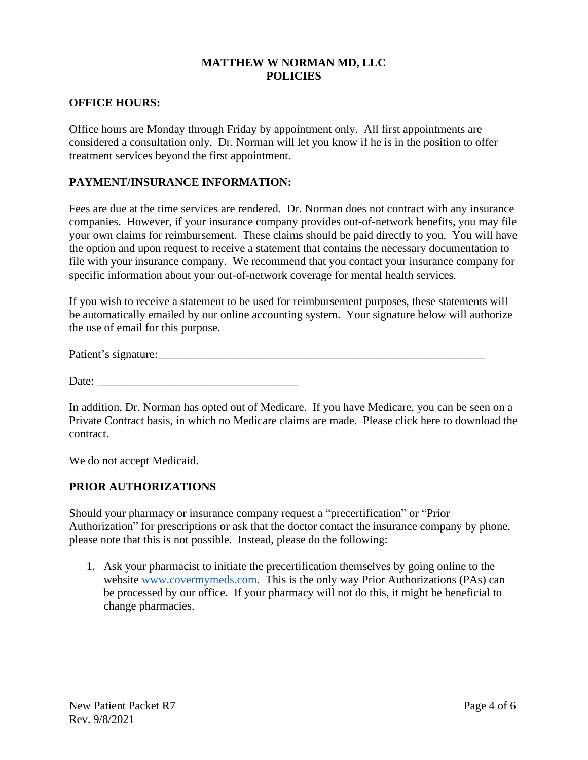### **MATTHEW W NORMAN MD, LLC POLICIES**

### **OFFICE HOURS:**

Office hours are Monday through Friday by appointment only. All first appointments are considered a consultation only. Dr. Norman will let you know if he is in the position to offer treatment services beyond the first appointment.

### **PAYMENT/INSURANCE INFORMATION:**

Fees are due at the time services are rendered. Dr. Norman does not contract with any insurance companies. However, if your insurance company provides out-of-network benefits, you may file your own claims for reimbursement. These claims should be paid directly to you. You will have the option and upon request to receive a statement that contains the necessary documentation to file with your insurance company. We recommend that you contact your insurance company for specific information about your out-of-network coverage for mental health services.

If you wish to receive a statement to be used for reimbursement purposes, these statements will be automatically emailed by our online accounting system. Your signature below will authorize the use of email for this purpose.

Patient's signature:\_\_\_\_\_\_\_\_\_\_\_\_\_\_\_\_\_\_\_\_\_\_\_\_\_\_\_\_\_\_\_\_\_\_\_\_\_\_\_\_\_\_\_\_\_\_\_\_\_\_\_\_\_\_\_\_\_

Date:

In addition, Dr. Norman has opted out of Medicare. If you have Medicare, you can be seen on a Private Contract basis, in which no Medicare claims are made. Please click here to download the contract.

We do not accept Medicaid.

### **PRIOR AUTHORIZATIONS**

Should your pharmacy or insurance company request a "precertification" or "Prior Authorization" for prescriptions or ask that the doctor contact the insurance company by phone, please note that this is not possible. Instead, please do the following:

1. Ask your pharmacist to initiate the precertification themselves by going online to the website [www.covermymeds.com.](http://www.covermymeds.com/) This is the only way Prior Authorizations (PAs) can be processed by our office. If your pharmacy will not do this, it might be beneficial to change pharmacies.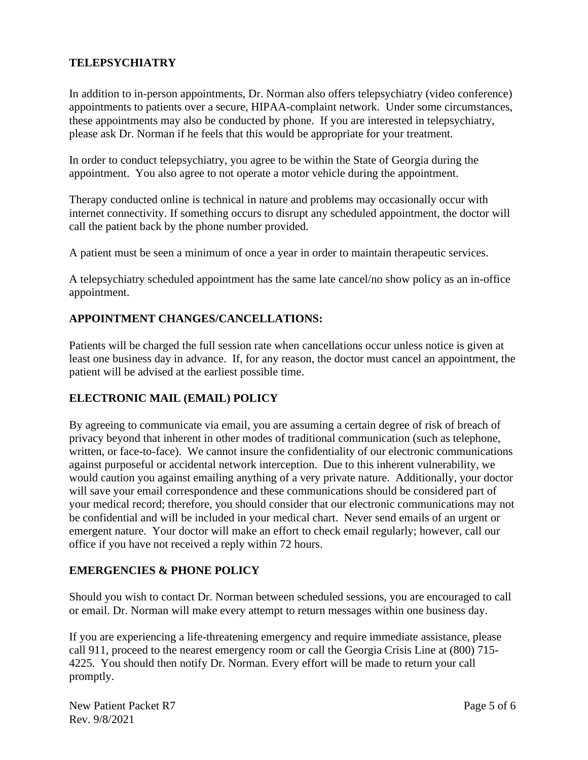# **TELEPSYCHIATRY**

In addition to in-person appointments, Dr. Norman also offers telepsychiatry (video conference) appointments to patients over a secure, HIPAA-complaint network. Under some circumstances, these appointments may also be conducted by phone. If you are interested in telepsychiatry, please ask Dr. Norman if he feels that this would be appropriate for your treatment.

In order to conduct telepsychiatry, you agree to be within the State of Georgia during the appointment. You also agree to not operate a motor vehicle during the appointment.

Therapy conducted online is technical in nature and problems may occasionally occur with internet connectivity. If something occurs to disrupt any scheduled appointment, the doctor will call the patient back by the phone number provided.

A patient must be seen a minimum of once a year in order to maintain therapeutic services.

A telepsychiatry scheduled appointment has the same late cancel/no show policy as an in-office appointment.

# **APPOINTMENT CHANGES/CANCELLATIONS:**

Patients will be charged the full session rate when cancellations occur unless notice is given at least one business day in advance. If, for any reason, the doctor must cancel an appointment, the patient will be advised at the earliest possible time.

# **ELECTRONIC MAIL (EMAIL) POLICY**

By agreeing to communicate via email, you are assuming a certain degree of risk of breach of privacy beyond that inherent in other modes of traditional communication (such as telephone, written, or face-to-face). We cannot insure the confidentiality of our electronic communications against purposeful or accidental network interception. Due to this inherent vulnerability, we would caution you against emailing anything of a very private nature. Additionally, your doctor will save your email correspondence and these communications should be considered part of your medical record; therefore, you should consider that our electronic communications may not be confidential and will be included in your medical chart. Never send emails of an urgent or emergent nature. Your doctor will make an effort to check email regularly; however, call our office if you have not received a reply within 72 hours.

### **EMERGENCIES & PHONE POLICY**

Should you wish to contact Dr. Norman between scheduled sessions, you are encouraged to call or email. Dr. Norman will make every attempt to return messages within one business day.

If you are experiencing a life-threatening emergency and require immediate assistance, please call 911, proceed to the nearest emergency room or call the Georgia Crisis Line at (800) 715- 4225. You should then notify Dr. Norman. Every effort will be made to return your call promptly.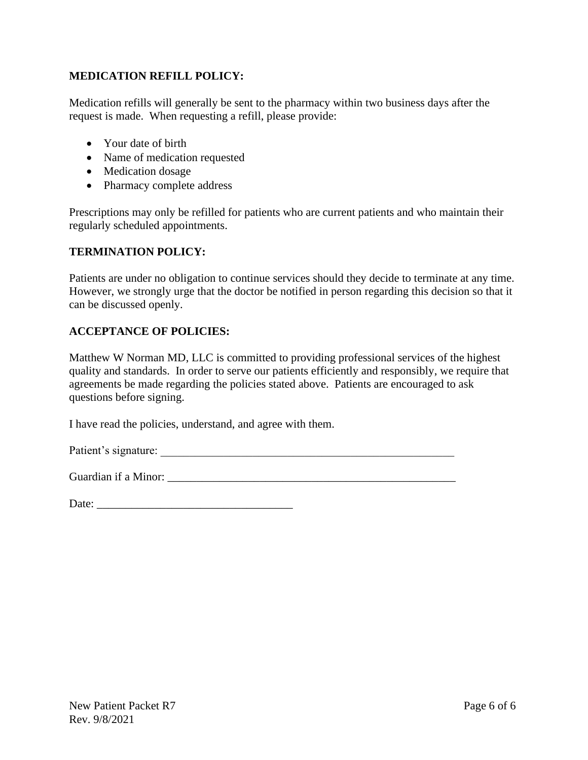## **MEDICATION REFILL POLICY:**

Medication refills will generally be sent to the pharmacy within two business days after the request is made. When requesting a refill, please provide:

- Your date of birth
- Name of medication requested
- Medication dosage
- Pharmacy complete address

Prescriptions may only be refilled for patients who are current patients and who maintain their regularly scheduled appointments.

### **TERMINATION POLICY:**

Patients are under no obligation to continue services should they decide to terminate at any time. However, we strongly urge that the doctor be notified in person regarding this decision so that it can be discussed openly.

### **ACCEPTANCE OF POLICIES:**

Matthew W Norman MD, LLC is committed to providing professional services of the highest quality and standards. In order to serve our patients efficiently and responsibly, we require that agreements be made regarding the policies stated above. Patients are encouraged to ask questions before signing.

I have read the policies, understand, and agree with them.

Patient's signature:

| Date: |  |  |  |
|-------|--|--|--|
|       |  |  |  |